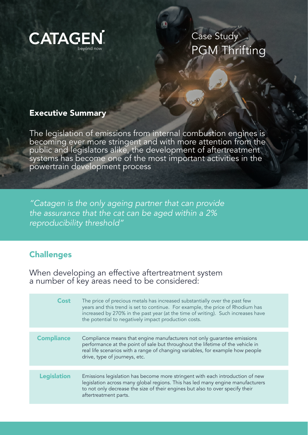

Case Study PGM Thrifting

## Executive Summary

The legislation of emissions from internal combustion engines is becoming ever more stringent and with more attention from the public and legislators alike, the development of aftertreatment systems has become one of the most important activities in the powertrain development process

*"Catagen is the only ageing partner that can provide the assurance that the cat can be aged within a 2% reproducibility threshold"*

## **Challenges**

When developing an effective aftertreatment system a number of key areas need to be considered:

| The price of precious metals has increased substantially over the past few<br>years and this trend is set to continue. For example, the price of Rhodium has<br>increased by 270% in the past year (at the time of writing). Such increases have<br>the potential to negatively impact production costs. |
|----------------------------------------------------------------------------------------------------------------------------------------------------------------------------------------------------------------------------------------------------------------------------------------------------------|
| Compliance means that engine manufacturers not only guarantee emissions<br>performance at the point of sale but throughout the lifetime of the vehicle in<br>real life scenarios with a range of changing variables, for example how people<br>drive, type of journeys, etc.                             |
| Emissions legislation has become more stringent with each introduction of new<br>legislation across many global regions. This has led many engine manufacturers<br>to not only decrease the size of their engines but also to over specify their<br>aftertreatment parts.                                |
|                                                                                                                                                                                                                                                                                                          |